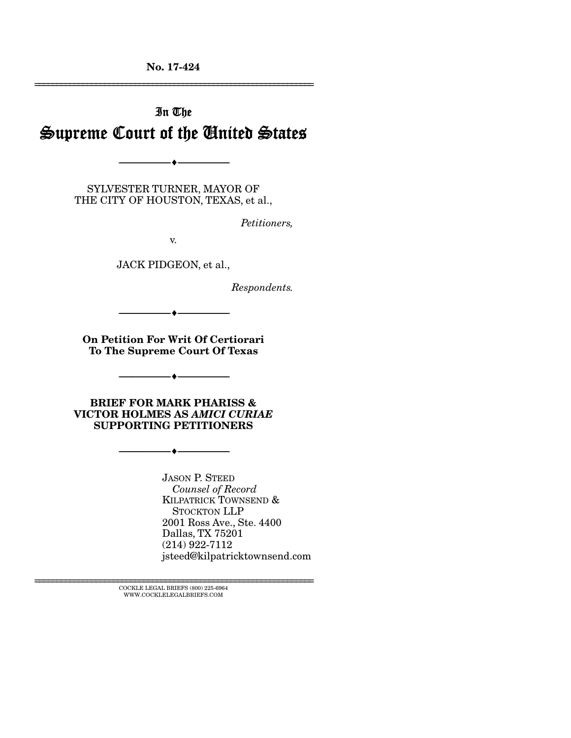No. 17-424 ================================================================

# In The Supreme Court of the United States

SYLVESTER TURNER, MAYOR OF THE CITY OF HOUSTON, TEXAS, et al.,

--------------------------------- ---------------------------------

*Petitioners,* 

v.

JACK PIDGEON, et al.,

*Respondents.* 

On Petition For Writ Of Certiorari To The Supreme Court Of Texas

--------------------------------- ---------------------------------

--------------------------------- ---------------------------------

BRIEF FOR MARK PHARISS & VICTOR HOLMES AS *AMICI CURIAE* SUPPORTING PETITIONERS

--------------------------------- ---------------------------------

JASON P. STEED  *Counsel of Record* KILPATRICK TOWNSEND & STOCKTON LLP 2001 Ross Ave., Ste. 4400 Dallas, TX 75201 (214) 922-7112 jsteed@kilpatricktownsend.com

 $\textsc{COCKLE}$  LEGAL BRIEFS (800) 225-6964 WWW.COCKLELEGALBRIEFS.COM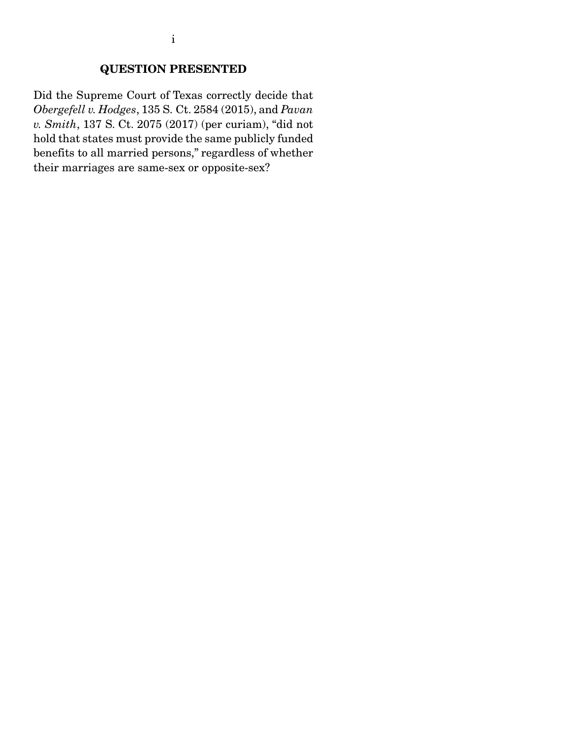### QUESTION PRESENTED

Did the Supreme Court of Texas correctly decide that *Obergefell v. Hodges*, 135 S. Ct. 2584 (2015), and *Pavan v. Smith*, 137 S. Ct. 2075 (2017) (per curiam), "did not hold that states must provide the same publicly funded benefits to all married persons," regardless of whether their marriages are same-sex or opposite-sex?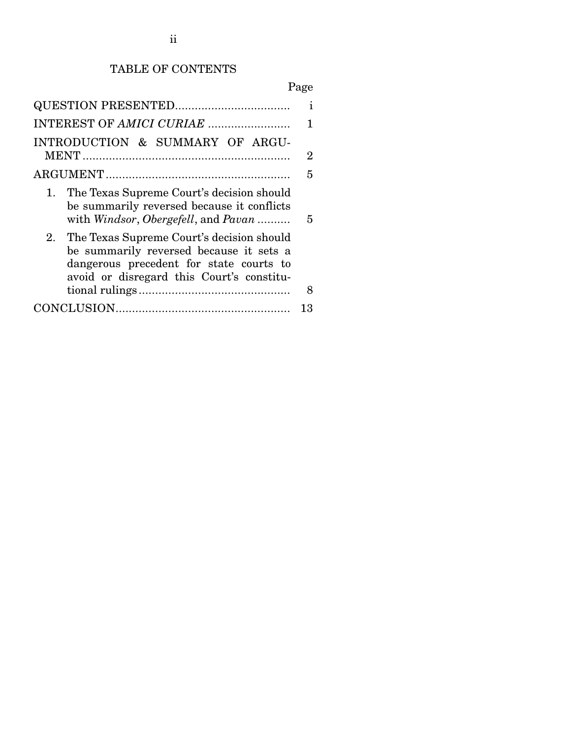## TABLE OF CONTENTS

# Page

| INTRODUCTION & SUMMARY OF ARGU-                                                                                                                                                 | $\overline{2}$ |  |  |  |  |
|---------------------------------------------------------------------------------------------------------------------------------------------------------------------------------|----------------|--|--|--|--|
|                                                                                                                                                                                 |                |  |  |  |  |
| The Texas Supreme Court's decision should<br>1.<br>be summarily reversed because it conflicts<br>with Windsor, Obergefell, and Pavan                                            | 5              |  |  |  |  |
| 2. The Texas Supreme Court's decision should<br>be summarily reversed because it sets a<br>dangerous precedent for state courts to<br>avoid or disregard this Court's constitu- | 8              |  |  |  |  |
|                                                                                                                                                                                 | 13             |  |  |  |  |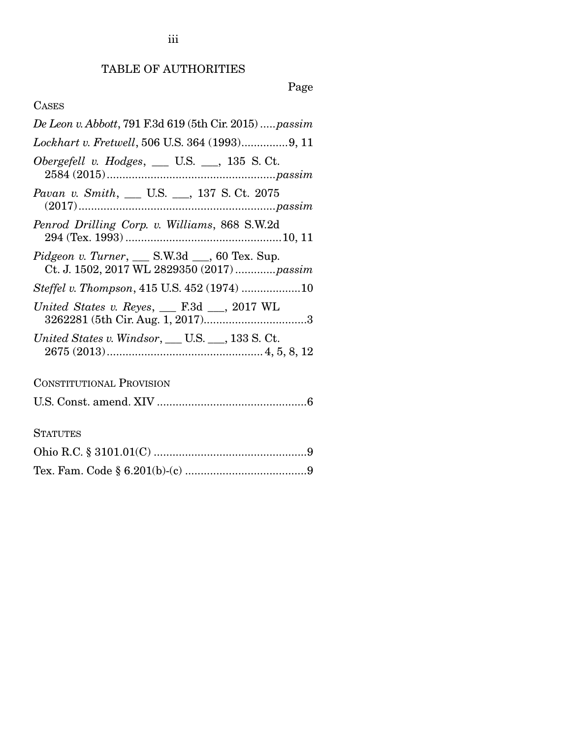TABLE OF AUTHORITIES

# Page

## CASES

| De Leon v. Abbott, 791 F.3d 619 (5th Cir. 2015)  passim                                                                                    |
|--------------------------------------------------------------------------------------------------------------------------------------------|
|                                                                                                                                            |
| Obergefell v. Hodges, $\_\_$ U.S. $\_\_$ , 135 S. Ct.                                                                                      |
| Pavan v. Smith, __ U.S. __, 137 S. Ct. 2075                                                                                                |
| Penrod Drilling Corp. v. Williams, 868 S.W.2d                                                                                              |
| Pidgeon v. Turner, S.W.3d Solution Clex. Sup.<br>Ct. J. 1502, 2017 WL 2829350 (2017)  passim                                               |
| Steffel v. Thompson, 415 U.S. 452 (1974) 10                                                                                                |
| United States v. Reyes, $\_\_$ F.3d $\_\_$ , 2017 WL                                                                                       |
| United States v. Windsor, $\rule{1em}{0.55em}$ U.S. $\rule{1.55em}{0.55em}$ U.S. $\rule{1.55em}{0.55em}$ U.S. $\rule{1.55em}{0.55em}$ U.S. |
| <b>CONSTITUTIONAL PROVISION</b>                                                                                                            |
|                                                                                                                                            |
| <b>STATUTES</b>                                                                                                                            |
|                                                                                                                                            |

|--|--|--|--|--|--|--|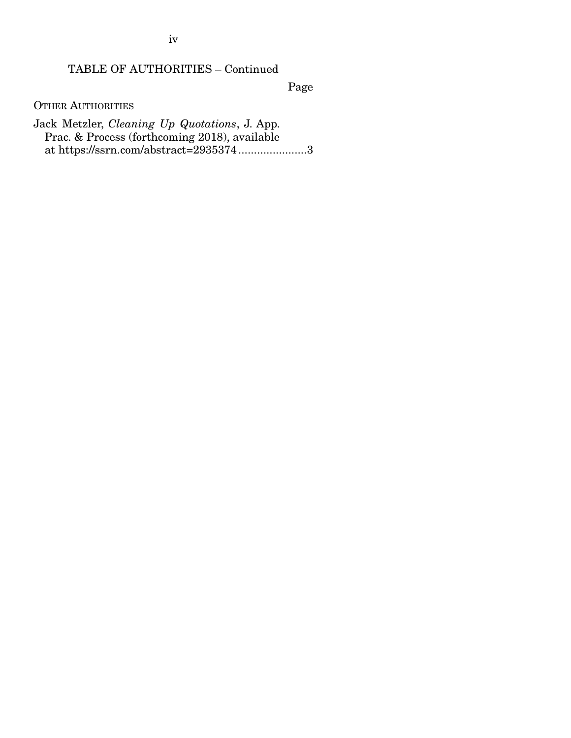iv

### TABLE OF AUTHORITIES – Continued

Page

OTHER AUTHORITIES

Jack Metzler, *Cleaning Up Quotations*, J. App. Prac. & Process (forthcoming 2018), available at https://ssrn.com/abstract=2935374 ...................... 3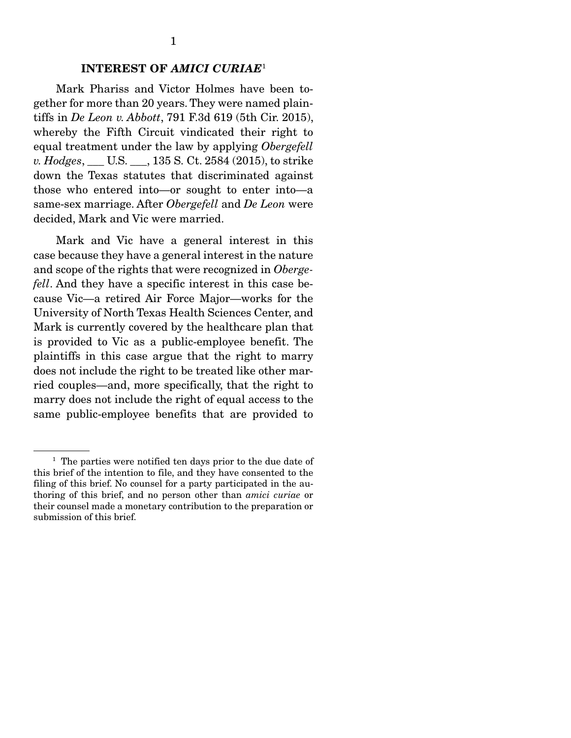#### INTEREST OF *AMICI CURIAE*<sup>1</sup>

 Mark Phariss and Victor Holmes have been together for more than 20 years. They were named plaintiffs in *De Leon v. Abbott*, 791 F.3d 619 (5th Cir. 2015), whereby the Fifth Circuit vindicated their right to equal treatment under the law by applying *Obergefell v. Hodges*, \_\_\_ U.S. \_\_\_, 135 S. Ct. 2584 (2015), to strike down the Texas statutes that discriminated against those who entered into—or sought to enter into—a same-sex marriage. After *Obergefell* and *De Leon* were decided, Mark and Vic were married.

 Mark and Vic have a general interest in this case because they have a general interest in the nature and scope of the rights that were recognized in *Obergefell*. And they have a specific interest in this case because Vic—a retired Air Force Major—works for the University of North Texas Health Sciences Center, and Mark is currently covered by the healthcare plan that is provided to Vic as a public-employee benefit. The plaintiffs in this case argue that the right to marry does not include the right to be treated like other married couples—and, more specifically, that the right to marry does not include the right of equal access to the same public-employee benefits that are provided to

<sup>&</sup>lt;sup>1</sup> The parties were notified ten days prior to the due date of this brief of the intention to file, and they have consented to the filing of this brief. No counsel for a party participated in the authoring of this brief, and no person other than *amici curiae* or their counsel made a monetary contribution to the preparation or submission of this brief.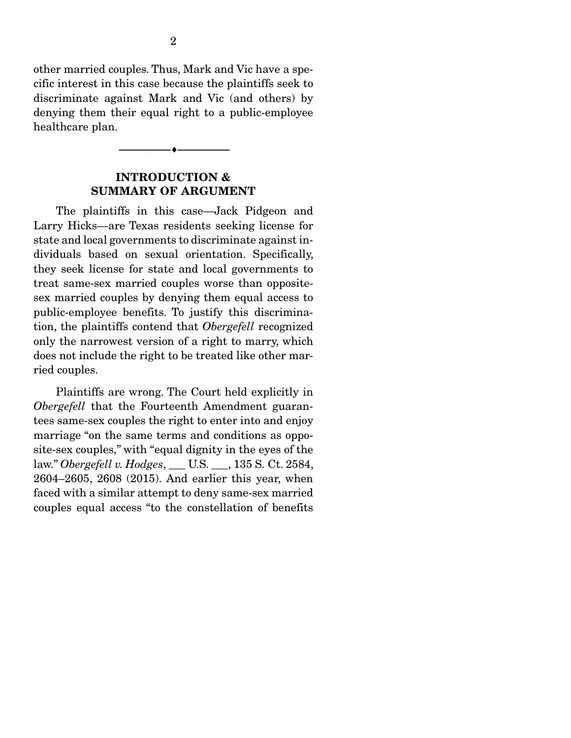other married couples. Thus, Mark and Vic have a specific interest in this case because the plaintiffs seek to discriminate against Mark and Vic (and others) by denying them their equal right to a public-employee healthcare plan.

#### INTRODUCTION & SUMMARY OF ARGUMENT

--------------------------------- ---------------------------------

 The plaintiffs in this case—Jack Pidgeon and Larry Hicks—are Texas residents seeking license for state and local governments to discriminate against individuals based on sexual orientation. Specifically, they seek license for state and local governments to treat same-sex married couples worse than oppositesex married couples by denying them equal access to public-employee benefits. To justify this discrimination, the plaintiffs contend that *Obergefell* recognized only the narrowest version of a right to marry, which does not include the right to be treated like other married couples.

 Plaintiffs are wrong. The Court held explicitly in *Obergefell* that the Fourteenth Amendment guarantees same-sex couples the right to enter into and enjoy marriage "on the same terms and conditions as opposite-sex couples," with "equal dignity in the eyes of the law." *Obergefell v. Hodges*, \_\_\_ U.S. \_\_\_, 135 S. Ct. 2584, 2604–2605, 2608 (2015). And earlier this year, when faced with a similar attempt to deny same-sex married couples equal access "to the constellation of benefits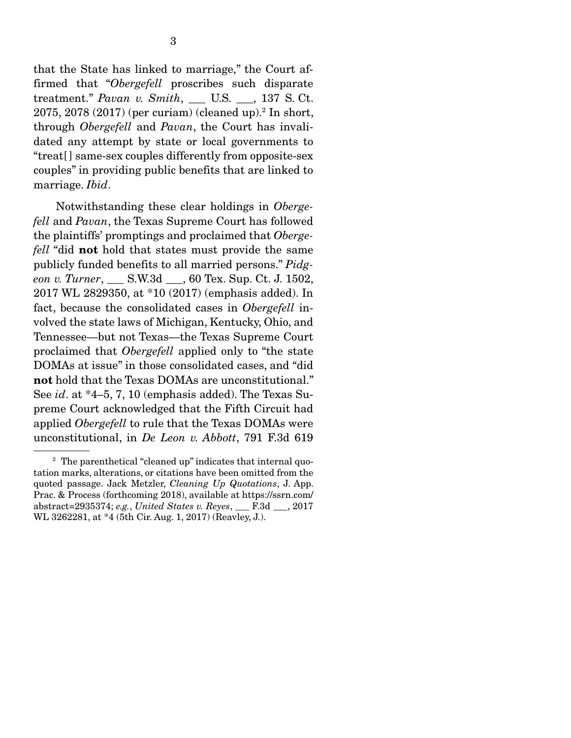that the State has linked to marriage," the Court affirmed that "*Obergefell* proscribes such disparate treatment." *Pavan v. Smith*, U.S. , 137 S. Ct. 2075, 2078 (2017) (per curiam) (cleaned up).2 In short, through *Obergefell* and *Pavan*, the Court has invalidated any attempt by state or local governments to "treat[ ] same-sex couples differently from opposite-sex couples" in providing public benefits that are linked to marriage. *Ibid*.

 Notwithstanding these clear holdings in *Obergefell* and *Pavan*, the Texas Supreme Court has followed the plaintiffs' promptings and proclaimed that *Obergefell* "did not hold that states must provide the same publicly funded benefits to all married persons." *Pidgeon v. Turner*, \_\_\_ S.W.3d \_\_\_, 60 Tex. Sup. Ct. J. 1502, 2017 WL 2829350, at \*10 (2017) (emphasis added). In fact, because the consolidated cases in *Obergefell* involved the state laws of Michigan, Kentucky, Ohio, and Tennessee—but not Texas—the Texas Supreme Court proclaimed that *Obergefell* applied only to "the state DOMAs at issue" in those consolidated cases, and "did not hold that the Texas DOMAs are unconstitutional." See *id*. at \*4–5, 7, 10 (emphasis added). The Texas Supreme Court acknowledged that the Fifth Circuit had applied *Obergefell* to rule that the Texas DOMAs were unconstitutional, in *De Leon v. Abbott*, 791 F.3d 619

<sup>&</sup>lt;sup>2</sup> The parenthetical "cleaned up" indicates that internal quotation marks, alterations, or citations have been omitted from the quoted passage. Jack Metzler, *Cleaning Up Quotations*, J. App. Prac. & Process (forthcoming 2018), available at https://ssrn.com/ abstract=2935374; *e.g.*, *United States v. Reyes*, \_\_\_ F.3d \_\_\_, 2017 WL 3262281, at \*4 (5th Cir. Aug. 1, 2017) (Reavley, J.).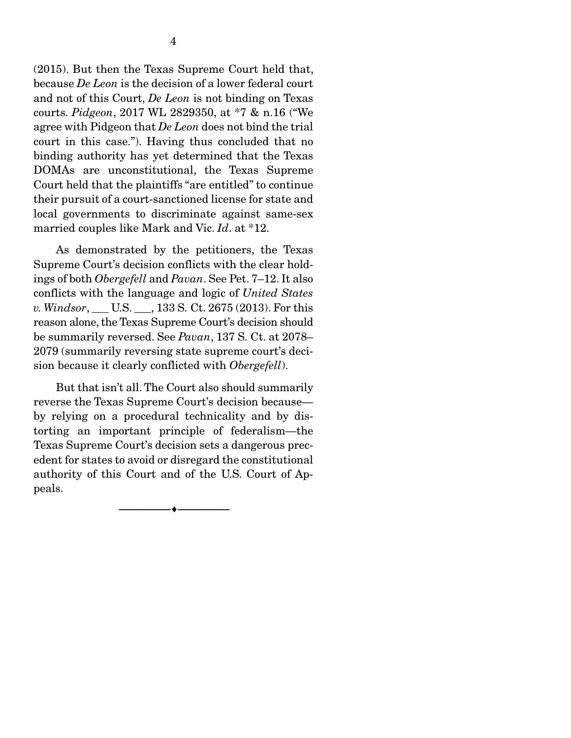(2015). But then the Texas Supreme Court held that, because *De Leon* is the decision of a lower federal court and not of this Court, *De Leon* is not binding on Texas courts. *Pidgeon*, 2017 WL 2829350, at \*7 & n.16 ("We agree with Pidgeon that *De Leon* does not bind the trial court in this case."). Having thus concluded that no binding authority has yet determined that the Texas DOMAs are unconstitutional, the Texas Supreme Court held that the plaintiffs "are entitled" to continue their pursuit of a court-sanctioned license for state and local governments to discriminate against same-sex married couples like Mark and Vic. *Id*. at \*12.

 As demonstrated by the petitioners, the Texas Supreme Court's decision conflicts with the clear holdings of both *Obergefell* and *Pavan*. See Pet. 7–12. It also conflicts with the language and logic of *United States v. Windsor*, **U.S.** , 133 S. Ct. 2675 (2013). For this reason alone, the Texas Supreme Court's decision should be summarily reversed. See *Pavan*, 137 S. Ct. at 2078– 2079 (summarily reversing state supreme court's decision because it clearly conflicted with *Obergefell*).

 But that isn't all. The Court also should summarily reverse the Texas Supreme Court's decision because by relying on a procedural technicality and by distorting an important principle of federalism—the Texas Supreme Court's decision sets a dangerous precedent for states to avoid or disregard the constitutional authority of this Court and of the U.S. Court of Appeals.

 $\overbrace{\hspace{2.5cm}}$   $\overbrace{\hspace{2.5cm}}$   $\overbrace{\hspace{2.5cm}}$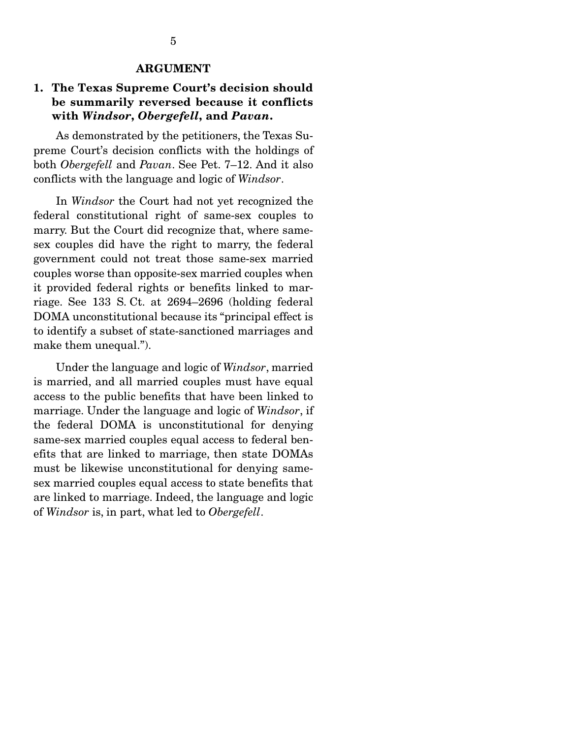#### ARGUMENT

#### 1. The Texas Supreme Court's decision should be summarily reversed because it conflicts with *Windsor*, *Obergefell*, and *Pavan*.

 As demonstrated by the petitioners, the Texas Supreme Court's decision conflicts with the holdings of both *Obergefell* and *Pavan*. See Pet. 7–12. And it also conflicts with the language and logic of *Windsor*.

 In *Windsor* the Court had not yet recognized the federal constitutional right of same-sex couples to marry. But the Court did recognize that, where samesex couples did have the right to marry, the federal government could not treat those same-sex married couples worse than opposite-sex married couples when it provided federal rights or benefits linked to marriage. See 133 S. Ct. at 2694–2696 (holding federal DOMA unconstitutional because its "principal effect is to identify a subset of state-sanctioned marriages and make them unequal.").

 Under the language and logic of *Windsor*, married is married, and all married couples must have equal access to the public benefits that have been linked to marriage. Under the language and logic of *Windsor*, if the federal DOMA is unconstitutional for denying same-sex married couples equal access to federal benefits that are linked to marriage, then state DOMAs must be likewise unconstitutional for denying samesex married couples equal access to state benefits that are linked to marriage. Indeed, the language and logic of *Windsor* is, in part, what led to *Obergefell*.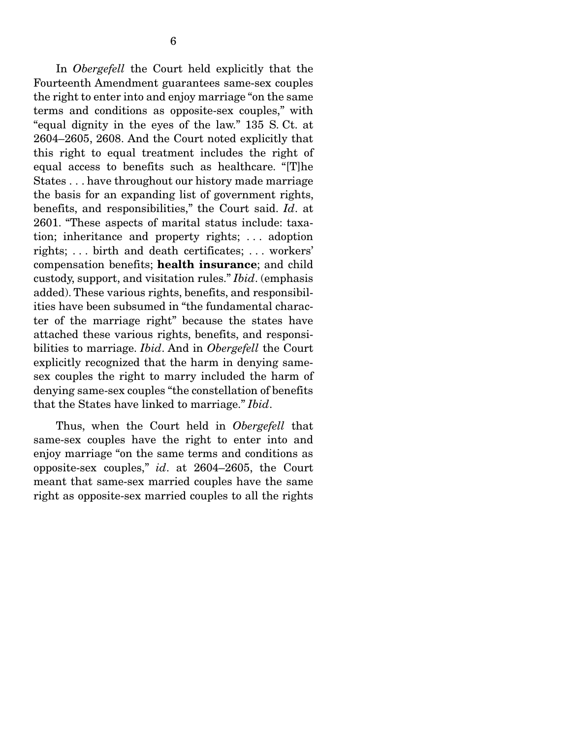In *Obergefell* the Court held explicitly that the Fourteenth Amendment guarantees same-sex couples the right to enter into and enjoy marriage "on the same terms and conditions as opposite-sex couples," with "equal dignity in the eyes of the law." 135 S. Ct. at 2604–2605, 2608. And the Court noted explicitly that this right to equal treatment includes the right of equal access to benefits such as healthcare. "[T]he States . . . have throughout our history made marriage the basis for an expanding list of government rights, benefits, and responsibilities," the Court said. *Id*. at 2601. "These aspects of marital status include: taxation; inheritance and property rights; . . . adoption rights; . . . birth and death certificates; . . . workers' compensation benefits; health insurance; and child custody, support, and visitation rules." *Ibid*. (emphasis added). These various rights, benefits, and responsibilities have been subsumed in "the fundamental character of the marriage right" because the states have attached these various rights, benefits, and responsibilities to marriage. *Ibid*. And in *Obergefell* the Court explicitly recognized that the harm in denying samesex couples the right to marry included the harm of denying same-sex couples "the constellation of benefits that the States have linked to marriage." *Ibid*.

 Thus, when the Court held in *Obergefell* that same-sex couples have the right to enter into and enjoy marriage "on the same terms and conditions as opposite-sex couples," *id*. at 2604–2605, the Court meant that same-sex married couples have the same right as opposite-sex married couples to all the rights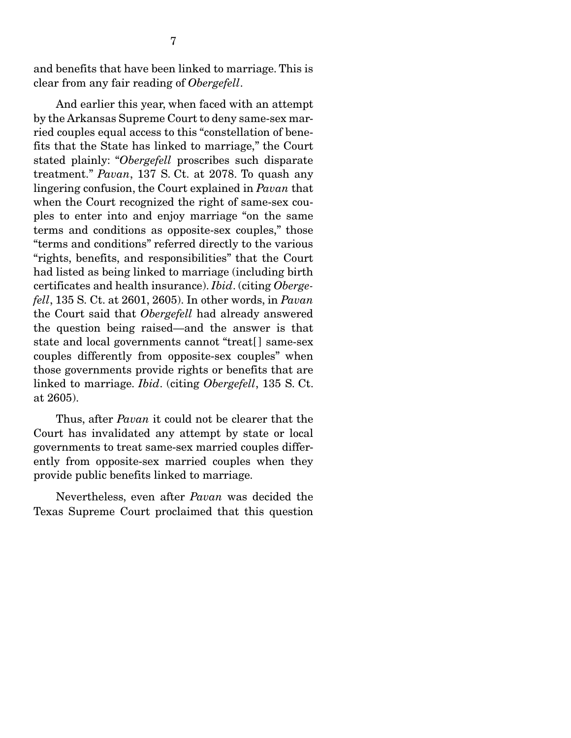and benefits that have been linked to marriage. This is clear from any fair reading of *Obergefell*.

 And earlier this year, when faced with an attempt by the Arkansas Supreme Court to deny same-sex married couples equal access to this "constellation of benefits that the State has linked to marriage," the Court stated plainly: "*Obergefell* proscribes such disparate treatment." *Pavan*, 137 S. Ct. at 2078. To quash any lingering confusion, the Court explained in *Pavan* that when the Court recognized the right of same-sex couples to enter into and enjoy marriage "on the same terms and conditions as opposite-sex couples," those "terms and conditions" referred directly to the various "rights, benefits, and responsibilities" that the Court had listed as being linked to marriage (including birth certificates and health insurance). *Ibid*. (citing *Obergefell*, 135 S. Ct. at 2601, 2605). In other words, in *Pavan* the Court said that *Obergefell* had already answered the question being raised—and the answer is that state and local governments cannot "treat[ ] same-sex couples differently from opposite-sex couples" when those governments provide rights or benefits that are linked to marriage. *Ibid*. (citing *Obergefell*, 135 S. Ct. at 2605).

 Thus, after *Pavan* it could not be clearer that the Court has invalidated any attempt by state or local governments to treat same-sex married couples differently from opposite-sex married couples when they provide public benefits linked to marriage.

 Nevertheless, even after *Pavan* was decided the Texas Supreme Court proclaimed that this question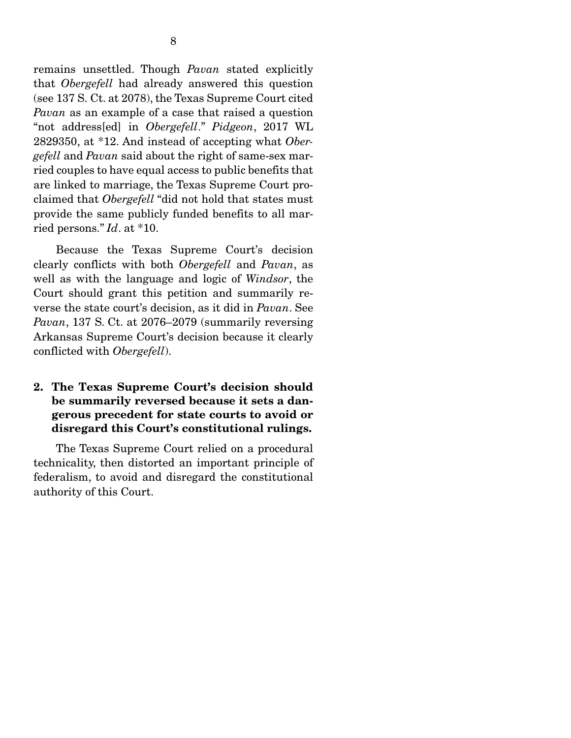remains unsettled. Though *Pavan* stated explicitly that *Obergefell* had already answered this question (see 137 S. Ct. at 2078), the Texas Supreme Court cited *Pavan* as an example of a case that raised a question "not address[ed] in *Obergefell*." *Pidgeon*, 2017 WL 2829350, at \*12. And instead of accepting what *Obergefell* and *Pavan* said about the right of same-sex married couples to have equal access to public benefits that are linked to marriage, the Texas Supreme Court proclaimed that *Obergefell* "did not hold that states must provide the same publicly funded benefits to all married persons." *Id*. at \*10.

 Because the Texas Supreme Court's decision clearly conflicts with both *Obergefell* and *Pavan*, as well as with the language and logic of *Windsor*, the Court should grant this petition and summarily reverse the state court's decision, as it did in *Pavan*. See *Pavan*, 137 S. Ct. at 2076–2079 (summarily reversing Arkansas Supreme Court's decision because it clearly conflicted with *Obergefell*).

#### 2. The Texas Supreme Court's decision should be summarily reversed because it sets a dangerous precedent for state courts to avoid or disregard this Court's constitutional rulings.

 The Texas Supreme Court relied on a procedural technicality, then distorted an important principle of federalism, to avoid and disregard the constitutional authority of this Court.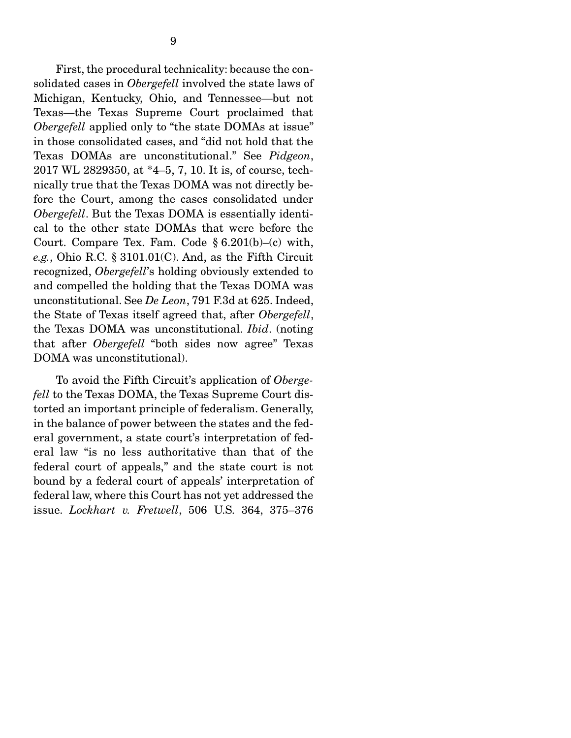First, the procedural technicality: because the consolidated cases in *Obergefell* involved the state laws of Michigan, Kentucky, Ohio, and Tennessee—but not Texas—the Texas Supreme Court proclaimed that *Obergefell* applied only to "the state DOMAs at issue" in those consolidated cases, and "did not hold that the Texas DOMAs are unconstitutional." See *Pidgeon*, 2017 WL 2829350, at \*4–5, 7, 10. It is, of course, technically true that the Texas DOMA was not directly before the Court, among the cases consolidated under *Obergefell*. But the Texas DOMA is essentially identical to the other state DOMAs that were before the Court. Compare Tex. Fam. Code § 6.201(b)–(c) with, *e.g.*, Ohio R.C. § 3101.01(C). And, as the Fifth Circuit recognized, *Obergefell*'s holding obviously extended to and compelled the holding that the Texas DOMA was unconstitutional. See *De Leon*, 791 F.3d at 625. Indeed, the State of Texas itself agreed that, after *Obergefell*, the Texas DOMA was unconstitutional. *Ibid*. (noting that after *Obergefell* "both sides now agree" Texas DOMA was unconstitutional).

 To avoid the Fifth Circuit's application of *Obergefell* to the Texas DOMA, the Texas Supreme Court distorted an important principle of federalism. Generally, in the balance of power between the states and the federal government, a state court's interpretation of federal law "is no less authoritative than that of the federal court of appeals," and the state court is not bound by a federal court of appeals' interpretation of federal law, where this Court has not yet addressed the issue. *Lockhart v. Fretwell*, 506 U.S. 364, 375–376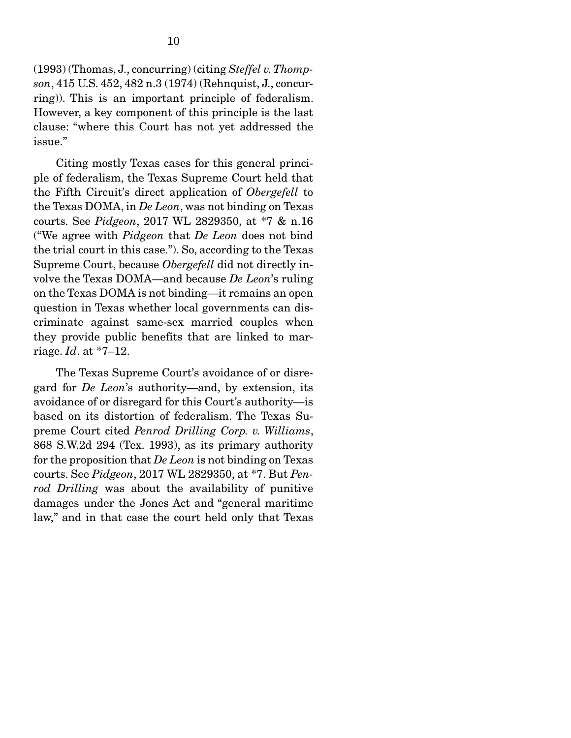(1993) (Thomas, J., concurring) (citing *Steffel v. Thompson*, 415 U.S. 452, 482 n.3 (1974) (Rehnquist, J., concurring)). This is an important principle of federalism. However, a key component of this principle is the last clause: "where this Court has not yet addressed the issue."

 Citing mostly Texas cases for this general principle of federalism, the Texas Supreme Court held that the Fifth Circuit's direct application of *Obergefell* to the Texas DOMA, in *De Leon*, was not binding on Texas courts. See *Pidgeon*, 2017 WL 2829350, at \*7 & n.16 ("We agree with *Pidgeon* that *De Leon* does not bind the trial court in this case."). So, according to the Texas Supreme Court, because *Obergefell* did not directly involve the Texas DOMA—and because *De Leon*'s ruling on the Texas DOMA is not binding—it remains an open question in Texas whether local governments can discriminate against same-sex married couples when they provide public benefits that are linked to marriage. *Id*. at \*7–12.

 The Texas Supreme Court's avoidance of or disregard for *De Leon*'s authority—and, by extension, its avoidance of or disregard for this Court's authority—is based on its distortion of federalism. The Texas Supreme Court cited *Penrod Drilling Corp. v. Williams*, 868 S.W.2d 294 (Tex. 1993), as its primary authority for the proposition that *De Leon* is not binding on Texas courts. See *Pidgeon*, 2017 WL 2829350, at \*7. But *Penrod Drilling* was about the availability of punitive damages under the Jones Act and "general maritime law," and in that case the court held only that Texas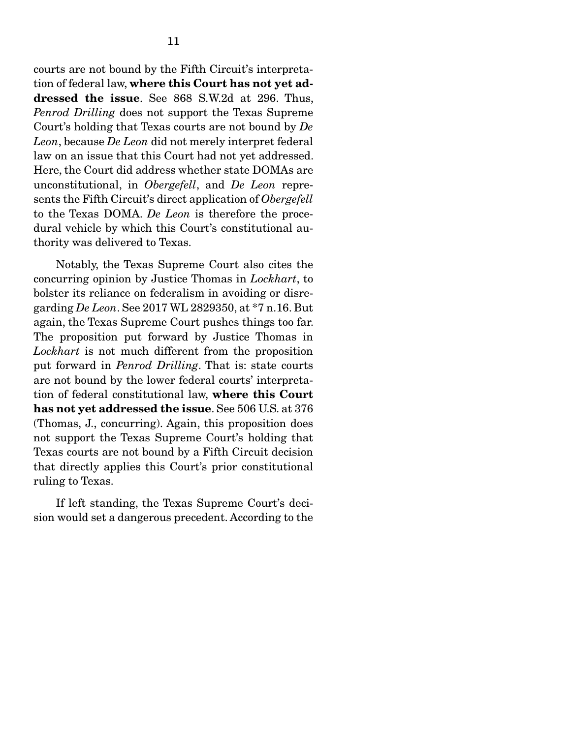courts are not bound by the Fifth Circuit's interpretation of federal law, where this Court has not yet addressed the issue. See 868 S.W.2d at 296. Thus, *Penrod Drilling* does not support the Texas Supreme Court's holding that Texas courts are not bound by *De Leon*, because *De Leon* did not merely interpret federal law on an issue that this Court had not yet addressed. Here, the Court did address whether state DOMAs are unconstitutional, in *Obergefell*, and *De Leon* represents the Fifth Circuit's direct application of *Obergefell* to the Texas DOMA. *De Leon* is therefore the procedural vehicle by which this Court's constitutional authority was delivered to Texas.

 Notably, the Texas Supreme Court also cites the concurring opinion by Justice Thomas in *Lockhart*, to bolster its reliance on federalism in avoiding or disregarding *De Leon*. See 2017 WL 2829350, at \*7 n.16. But again, the Texas Supreme Court pushes things too far. The proposition put forward by Justice Thomas in *Lockhart* is not much different from the proposition put forward in *Penrod Drilling*. That is: state courts are not bound by the lower federal courts' interpretation of federal constitutional law, where this Court has not yet addressed the issue. See 506 U.S. at 376 (Thomas, J., concurring). Again, this proposition does not support the Texas Supreme Court's holding that Texas courts are not bound by a Fifth Circuit decision that directly applies this Court's prior constitutional ruling to Texas.

 If left standing, the Texas Supreme Court's decision would set a dangerous precedent. According to the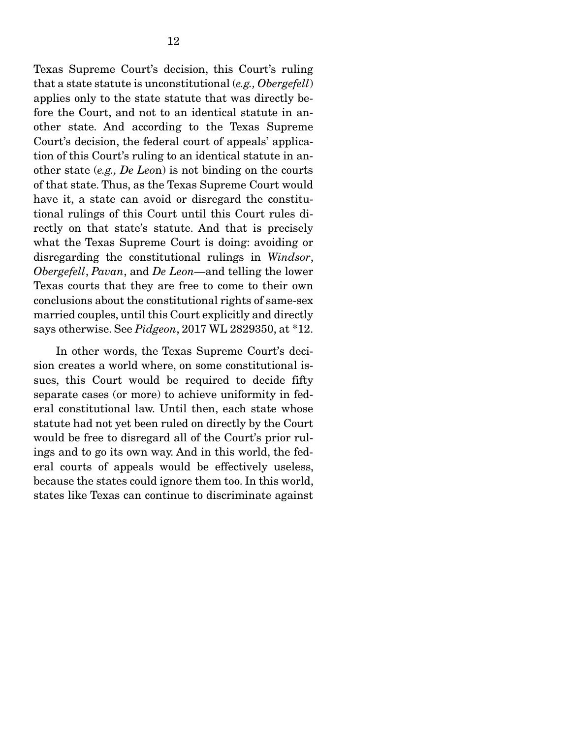Texas Supreme Court's decision, this Court's ruling that a state statute is unconstitutional (*e.g., Obergefell*) applies only to the state statute that was directly before the Court, and not to an identical statute in another state. And according to the Texas Supreme Court's decision, the federal court of appeals' application of this Court's ruling to an identical statute in another state (*e.g., De Leo*n) is not binding on the courts of that state. Thus, as the Texas Supreme Court would have it, a state can avoid or disregard the constitutional rulings of this Court until this Court rules directly on that state's statute. And that is precisely what the Texas Supreme Court is doing: avoiding or disregarding the constitutional rulings in *Windsor*, *Obergefell*, *Pavan*, and *De Leon*—and telling the lower Texas courts that they are free to come to their own conclusions about the constitutional rights of same-sex married couples, until this Court explicitly and directly says otherwise. See *Pidgeon*, 2017 WL 2829350, at \*12.

 In other words, the Texas Supreme Court's decision creates a world where, on some constitutional issues, this Court would be required to decide fifty separate cases (or more) to achieve uniformity in federal constitutional law. Until then, each state whose statute had not yet been ruled on directly by the Court would be free to disregard all of the Court's prior rulings and to go its own way. And in this world, the federal courts of appeals would be effectively useless, because the states could ignore them too. In this world, states like Texas can continue to discriminate against